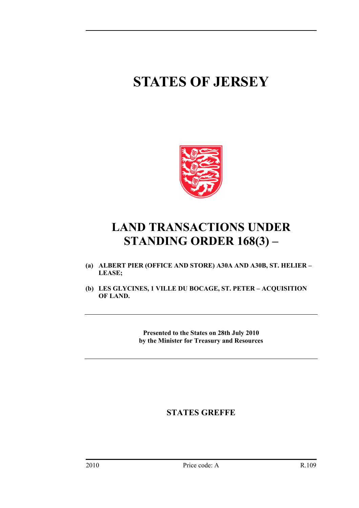# **STATES OF JERSEY**



## **LAND TRANSACTIONS UNDER STANDING ORDER 168(3) –**

- **(a) ALBERT PIER (OFFICE AND STORE) A30A AND A30B, ST. HELIER LEASE;**
- **(b) LES GLYCINES, 1 VILLE DU BOCAGE, ST. PETER ACQUISITION OF LAND.**

**Presented to the States on 28th July 2010 by the Minister for Treasury and Resources** 

### **STATES GREFFE**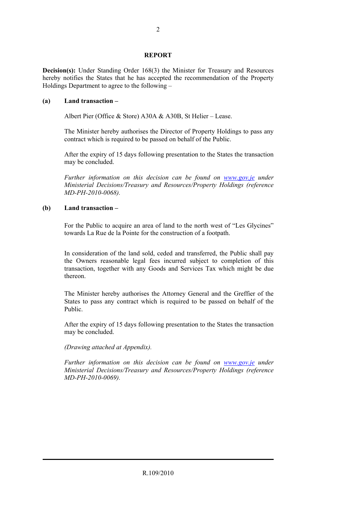#### **REPORT**

**Decision(s):** Under Standing Order 168(3) the Minister for Treasury and Resources hereby notifies the States that he has accepted the recommendation of the Property Holdings Department to agree to the following –

#### **(a) Land transaction –**

Albert Pier (Office & Store) A30A & A30B, St Helier – Lease.

 The Minister hereby authorises the Director of Property Holdings to pass any contract which is required to be passed on behalf of the Public.

 After the expiry of 15 days following presentation to the States the transaction may be concluded.

 *Further information on this decision can be found on www.gov.je under Ministerial Decisions/Treasury and Resources/Property Holdings (reference MD-PH-2010-0068).* 

#### **(b) Land transaction –**

 For the Public to acquire an area of land to the north west of "Les Glycines" towards La Rue de la Pointe for the construction of a footpath.

 In consideration of the land sold, ceded and transferred, the Public shall pay the Owners reasonable legal fees incurred subject to completion of this transaction, together with any Goods and Services Tax which might be due thereon.

 The Minister hereby authorises the Attorney General and the Greffier of the States to pass any contract which is required to be passed on behalf of the Public.

 After the expiry of 15 days following presentation to the States the transaction may be concluded.

#### *(Drawing attached at Appendix).*

 *Further information on this decision can be found on www.gov.je under Ministerial Decisions/Treasury and Resources/Property Holdings (reference MD-PH-2010-0069).*